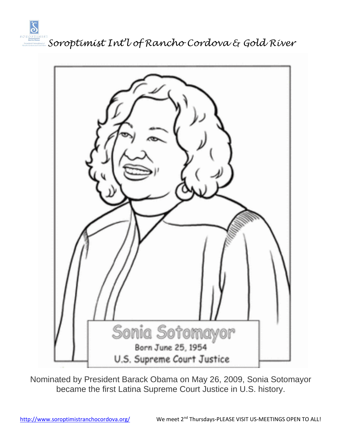



Nominated by President Barack Obama on May 26, 2009, Sonia Sotomayor became the first Latina Supreme Court Justice in U.S. history.